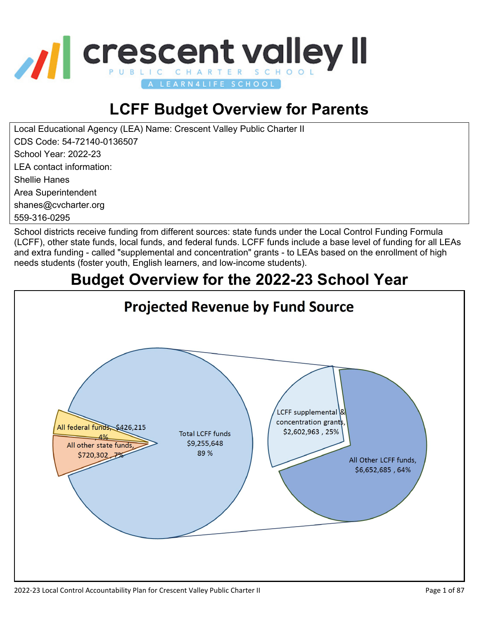

# **LCFF Budget Overview for Parents**

Local Educational Agency (LEA) Name: Crescent Valley Public Charter II CDS Code: 54-72140-0136507 School Year: 2022-23 LEA contact information: Shellie Hanes

Area Superintendent

shanes@cvcharter.org

559-316-0295

School districts receive funding from different sources: state funds under the Local Control Funding Formula (LCFF), other state funds, local funds, and federal funds. LCFF funds include a base level of funding for all LEAs and extra funding - called "supplemental and concentration" grants - to LEAs based on the enrollment of high needs students (foster youth, English learners, and low-income students).

#### **Budget Overview for the 2022-23 School YearProjected Revenue by Fund Source** LCFF supplemental concentration grant All federal funds \$426,215 \$2,602,963,25% **Total LCFF funds**  $-4%$ \$9,255,648 All other state funds 89 % \$720,302 7% All Other LCFF funds, \$6,652,685,64%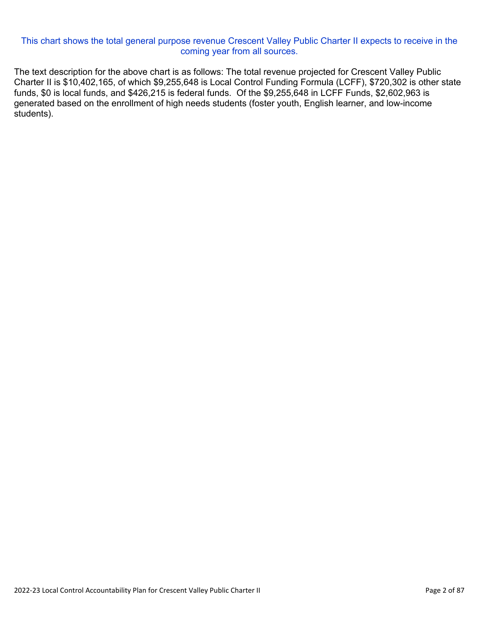#### This chart shows the total general purpose revenue Crescent Valley Public Charter II expects to receive in the coming year from all sources.

The text description for the above chart is as follows: The total revenue projected for Crescent Valley Public Charter II is \$10,402,165, of which \$9,255,648 is Local Control Funding Formula (LCFF), \$720,302 is other state funds, \$0 is local funds, and \$426,215 is federal funds. Of the \$9,255,648 in LCFF Funds, \$2,602,963 is generated based on the enrollment of high needs students (foster youth, English learner, and low-income students).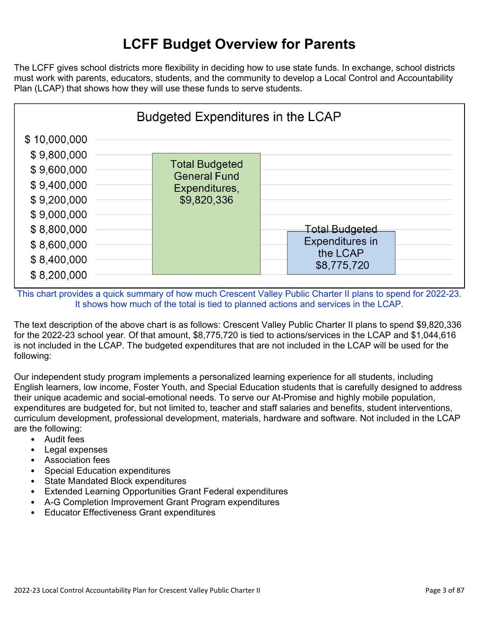## **LCFF Budget Overview for Parents**

The LCFF gives school districts more flexibility in deciding how to use state funds. In exchange, school districts must work with parents, educators, students, and the community to develop a Local Control and Accountability Plan (LCAP) that shows how they will use these funds to serve students.



This chart provides a quick summary of how much Crescent Valley Public Charter II plans to spend for 2022-23. It shows how much of the total is tied to planned actions and services in the LCAP.

The text description of the above chart is as follows: Crescent Valley Public Charter II plans to spend \$9,820,336 for the 2022-23 school year. Of that amount, \$8,775,720 is tied to actions/services in the LCAP and \$1,044,616 is not included in the LCAP. The budgeted expenditures that are not included in the LCAP will be used for the following:

Our independent study program implements a personalized learning experience for all students, including English learners, low income, Foster Youth, and Special Education students that is carefully designed to address their unique academic and social-emotional needs. To serve our At-Promise and highly mobile population, expenditures are budgeted for, but not limited to, teacher and staff salaries and benefits, student interventions, curriculum development, professional development, materials, hardware and software. Not included in the LCAP are the following:

- Audit fees
- Legal expenses
- Association fees
- Special Education expenditures
- State Mandated Block expenditures
- Extended Learning Opportunities Grant Federal expenditures
- A-G Completion Improvement Grant Program expenditures
- Educator Effectiveness Grant expenditures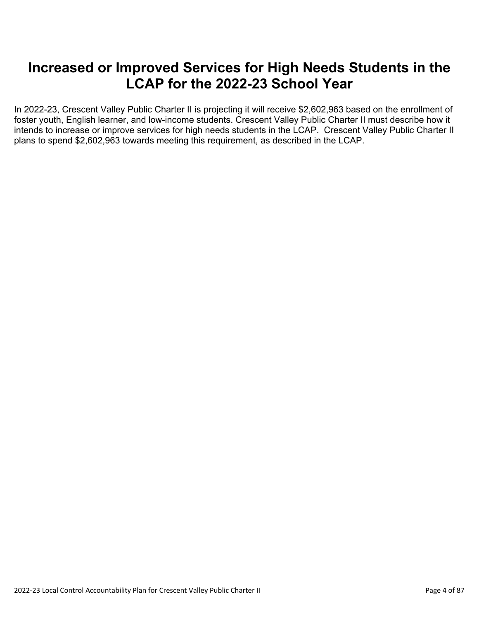#### **Increased or Improved Services for High Needs Students in the LCAP for the 2022-23 School Year**

In 2022-23, Crescent Valley Public Charter II is projecting it will receive \$2,602,963 based on the enrollment of foster youth, English learner, and low-income students. Crescent Valley Public Charter II must describe how it intends to increase or improve services for high needs students in the LCAP. Crescent Valley Public Charter II plans to spend \$2,602,963 towards meeting this requirement, as described in the LCAP.